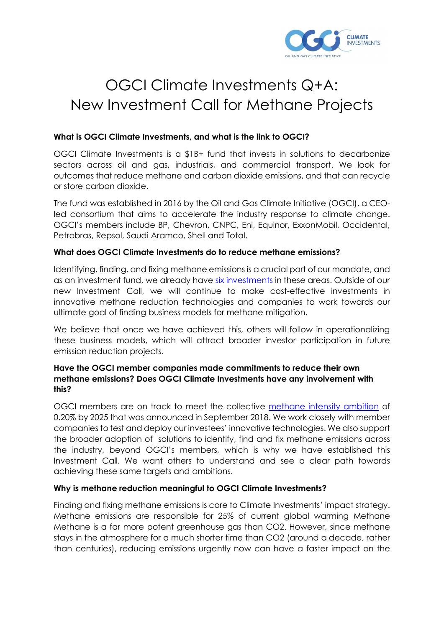

# OGCI Climate Investments Q+A: New Investment Call for Methane Projects

#### **What is OGCI Climate Investments, and what is the link to OGCI?**

OGCI Climate Investments is a \$1B+ fund that invests in solutions to decarbonize sectors across oil and gas, industrials, and commercial transport. We look for outcomes that reduce methane and carbon dioxide emissions, and that can recycle or store carbon dioxide.

The fund was established in 2016 by the Oil and Gas Climate Initiative (OGCI), a CEOled consortium that aims to accelerate the industry response to climate change. OGCI's members include BP, Chevron, CNPC, Eni, Equinor, ExxonMobil, Occidental, Petrobras, Repsol, Saudi Aramco, Shell and Total.

#### **What does OGCI Climate Investments do to reduce methane emissions?**

Identifying, finding, and fixing methane emissions is a crucial part of our mandate, and as an investment fund, we already have [six investments](https://oilandgasclimateinitiative.com/climate-investments/#our-portfolio) in these areas. Outside of our new Investment Call, we will continue to make cost-effective investments in innovative methane reduction technologies and companies to work towards our ultimate goal of finding business models for methane mitigation.

We believe that once we have achieved this, others will follow in operationalizing these business models, which will attract broader investor participation in future emission reduction projects.

#### **Have the OGCI member companies made commitments to reduce their own methane emissions? Does OGCI Climate Investments have any involvement with this?**

OGCI members are on track to meet the collective [methane](https://oilandgasclimateinitiative.com/action-and-engagement/provide-clean-affordable-energy/#methane-target) intensity ambition of 0.20% by 2025 that was announced in September 2018. We work closely with member companies to test and deploy our investees' innovative technologies. We also support the broader adoption of solutions to identify, find and fix methane emissions across the industry, beyond OGCI's members, which is why we have established this Investment Call. We want others to understand and see a clear path towards achieving these same targets and ambitions.

#### **Why is methane reduction meaningful to OGCI Climate Investments?**

Finding and fixing methane emissions is core to Climate Investments' impact strategy. Methane emissions are responsible for 25% of current global warming Methane Methane is a far more potent greenhouse gas than CO2. However, since methane stays in the atmosphere for a much shorter time than CO2 (around a decade, rather than centuries), reducing emissions urgently now can have a faster impact on the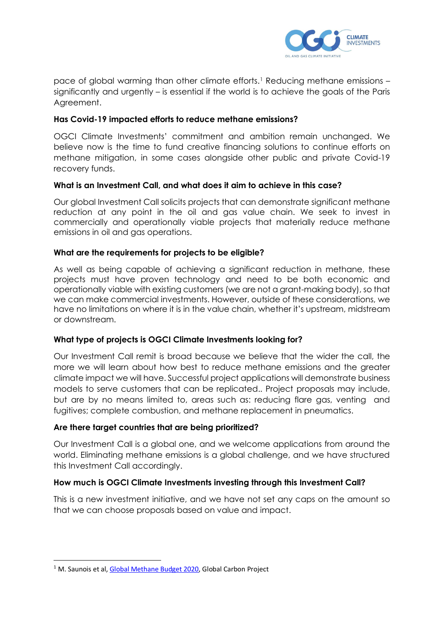

pace of global warming than other climate efforts.[1](#page-1-0) Reducing methane emissions – significantly and urgently – is essential if the world is to achieve the goals of the Paris Agreement.

#### **Has Covid-19 impacted efforts to reduce methane emissions?**

OGCI Climate Investments' commitment and ambition remain unchanged. We believe now is the time to fund creative financing solutions to continue efforts on methane mitigation, in some cases alongside other public and private Covid-19 recovery funds.

#### **What is an Investment Call, and what does it aim to achieve in this case?**

Our global Investment Call solicits projects that can demonstrate significant methane reduction at any point in the oil and gas value chain. We seek to invest in commercially and operationally viable projects that materially reduce methane emissions in oil and gas operations.

#### **What are the requirements for projects to be eligible?**

As well as being capable of achieving a significant reduction in methane, these projects must have proven technology and need to be both economic and operationally viable with existing customers (we are not a grant-making body), so that we can make commercial investments. However, outside of these considerations, we have no limitations on where it is in the value chain, whether it's upstream, midstream or downstream.

#### **What type of projects is OGCI Climate Investments looking for?**

Our Investment Call remit is broad because we believe that the wider the call, the more we will learn about how best to reduce methane emissions and the greater climate impact we will have. Successful project applications will demonstrate business models to serve customers that can be replicated.. Project proposals may include, but are by no means limited to, areas such as: reducing flare gas, venting and fugitives; complete combustion, and methane replacement in pneumatics.

#### **Are there target countries that are being prioritized?**

Our Investment Call is a global one, and we welcome applications from around the world. Eliminating methane emissions is a global challenge, and we have structured this Investment Call accordingly.

#### **How much is OGCI Climate Investments investing through this Investment Call?**

This is a new investment initiative, and we have not set any caps on the amount so that we can choose proposals based on value and impact.

<span id="page-1-0"></span><sup>&</sup>lt;sup>1</sup> M. Saunois et al, [Global Methane Budget 2020,](https://www.globalcarbonproject.org/methanebudget/20/files/GCP_MethaneBudget_2020_v2020-07-15.pdf) Global Carbon Project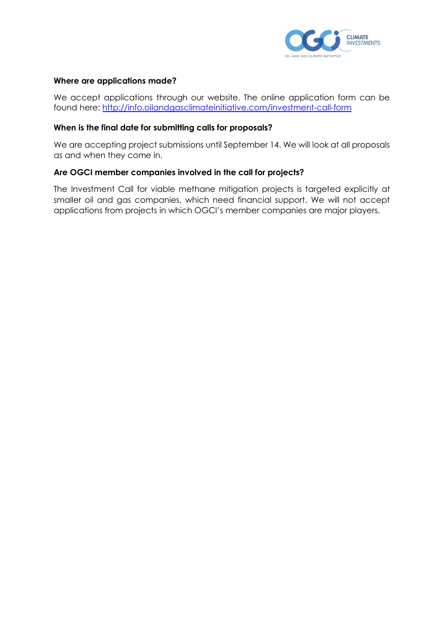

#### **Where are applications made?**

We accept applications through our website. The online application form can be found here: <http://info.oilandgasclimateinitiative.com/investment-call-form>

#### **When is the final date for submitting calls for proposals?**

We are accepting project submissions until September 14. We will look at all proposals as and when they come in.

#### **Are OGCI member companies involved in the call for projects?**

The Investment Call for viable methane mitigation projects is targeted explicitly at smaller oil and gas companies, which need financial support. We will not accept applications from projects in which OGCI's member companies are major players.